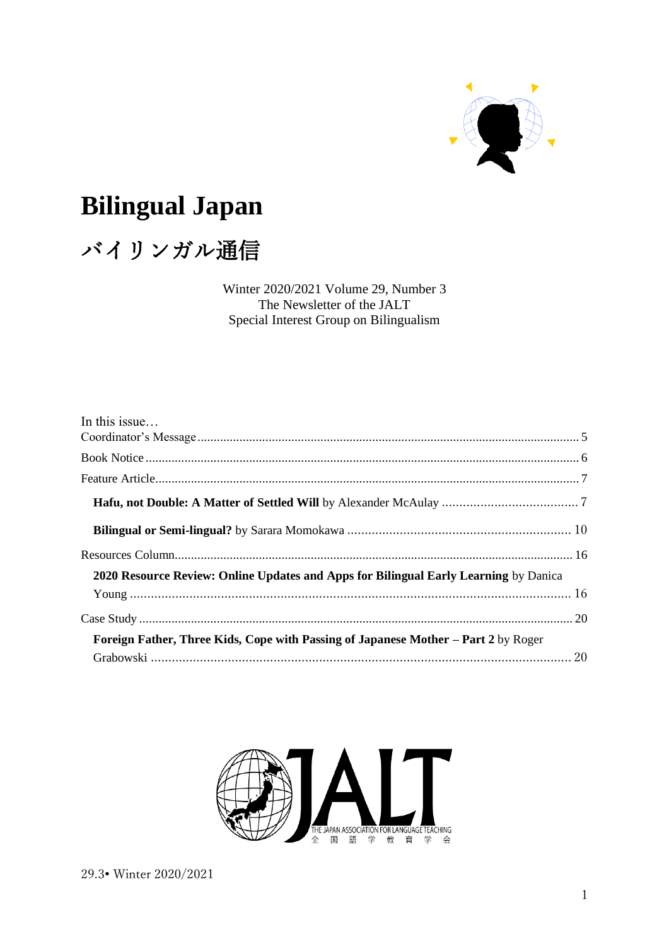

# **Bilingual Japan**

# バイリンガル通信

Winter 2020/2021 Volume 29, Number 3 The Newsletter of the JALT Special Interest Group on Bilingualism

| In this issue                                                                        |  |
|--------------------------------------------------------------------------------------|--|
|                                                                                      |  |
|                                                                                      |  |
|                                                                                      |  |
|                                                                                      |  |
|                                                                                      |  |
| 2020 Resource Review: Online Updates and Apps for Bilingual Early Learning by Danica |  |
|                                                                                      |  |
|                                                                                      |  |
| Foreign Father, Three Kids, Cope with Passing of Japanese Mother – Part 2 by Roger   |  |
|                                                                                      |  |

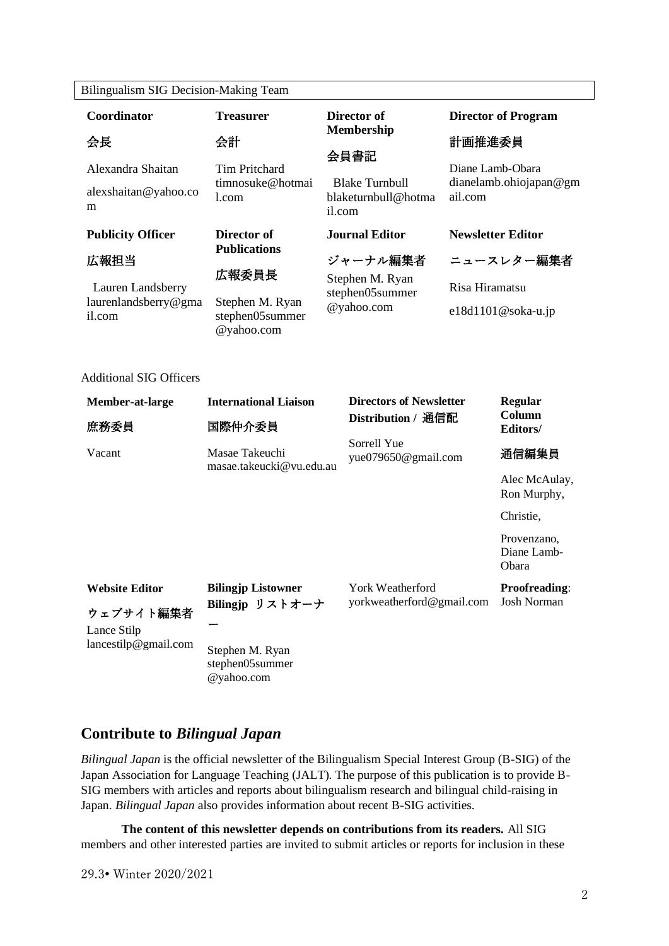|  | Bilingualism SIG Decision-Making Team |  |
|--|---------------------------------------|--|
|--|---------------------------------------|--|

|                                                                                                     | Coordinator                                                                             | <b>Treasurer</b>                                                                                |                           | Director of                                                                           |                                                       | <b>Director of Program</b>                                     |
|-----------------------------------------------------------------------------------------------------|-----------------------------------------------------------------------------------------|-------------------------------------------------------------------------------------------------|---------------------------|---------------------------------------------------------------------------------------|-------------------------------------------------------|----------------------------------------------------------------|
|                                                                                                     | 会長                                                                                      | 会計                                                                                              | <b>Membership</b><br>会員書記 |                                                                                       | 計画推進委員                                                |                                                                |
| Alexandra Shaitan<br>alexshaitan@yahoo.co<br>m                                                      |                                                                                         | <b>Tim Pritchard</b><br>timnosuke@hotmai<br>1.com                                               |                           | <b>Blake Turnbull</b><br>blaketurnbull@hotma<br>il.com                                | Diane Lamb-Obara<br>dianelamb.ohiojapan@gm<br>ail.com |                                                                |
|                                                                                                     | <b>Publicity Officer</b><br>広報担当<br>Lauren Landsberry<br>laurenlandsberry@gma<br>il.com | Director of<br><b>Publications</b><br>広報委員長<br>Stephen M. Ryan<br>stephen05summer<br>@yahoo.com |                           | <b>Journal Editor</b><br>ジャーナル編集者<br>Stephen M. Ryan<br>stephen05summer<br>@yahoo.com | Risa Hiramatsu                                        | <b>Newsletter Editor</b><br>ニュースレター編集者<br>$e18d1101@soka-u.jp$ |
| <b>Additional SIG Officers</b><br><b>International Liaison</b><br>Member-at-large<br>国際仲介委員<br>庶務委員 |                                                                                         | <b>Directors of Newsletter</b><br>Distribution / 通信配                                            |                           | Regular<br>Column<br>Editors/                                                         |                                                       |                                                                |
|                                                                                                     | Vacant                                                                                  | Masae Takeuchi<br>masae.takeucki@vu.edu.au                                                      |                           | Sorrell Yue<br>yue079650@gmail.com                                                    |                                                       | 通信編集員                                                          |
|                                                                                                     |                                                                                         |                                                                                                 |                           |                                                                                       |                                                       | Alec McAulay,<br>Ron Murphy,                                   |
|                                                                                                     |                                                                                         |                                                                                                 |                           |                                                                                       |                                                       | Christie,                                                      |
|                                                                                                     |                                                                                         |                                                                                                 |                           |                                                                                       |                                                       | Provenzano,<br>Diane Lamb-<br>Obara                            |
|                                                                                                     | <b>Website Editor</b>                                                                   | <b>Bilingjp Listowner</b>                                                                       |                           | York Weatherford                                                                      |                                                       | Proofreading:                                                  |

yorkweatherford@gmail.com Josh Norman

Lance Stilp lancestilp@gmail.com

ー

ウェブサイト編集者

Stephen M. Ryan stephen05summer @yahoo.com

**Bilingjp** リストオーナ

# **Contribute to** *Bilingual Japan*

*Bilingual Japan* is the official newsletter of the Bilingualism Special Interest Group (B-SIG) of the Japan Association for Language Teaching (JALT). The purpose of this publication is to provide B-SIG members with articles and reports about bilingualism research and bilingual child-raising in Japan. *Bilingual Japan* also provides information about recent B-SIG activities.

**The content of this newsletter depends on contributions from its readers.** All SIG members and other interested parties are invited to submit articles or reports for inclusion in these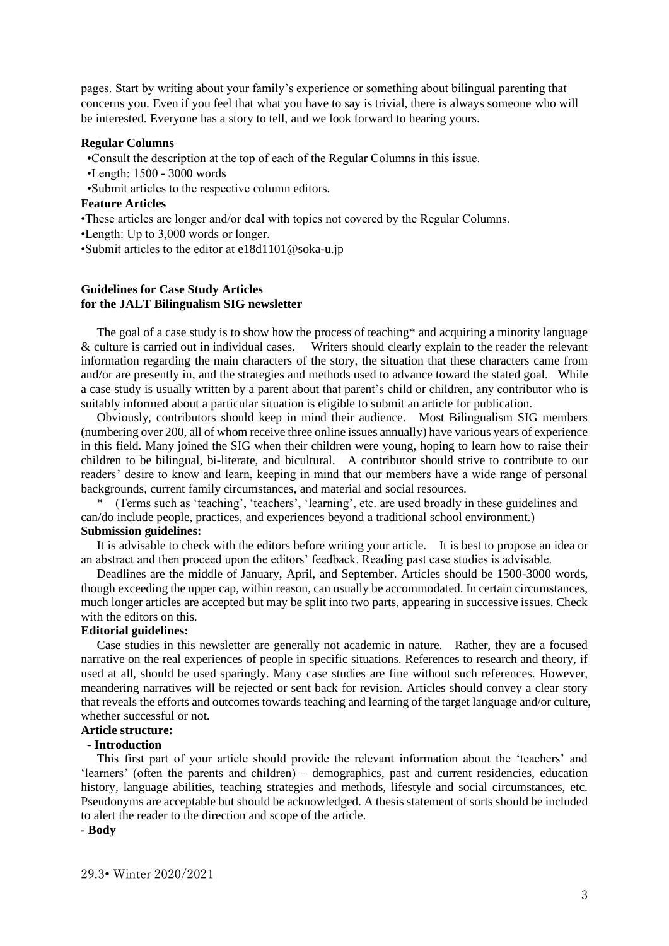pages. Start by writing about your family's experience or something about bilingual parenting that concerns you. Even if you feel that what you have to say is trivial, there is always someone who will be interested. Everyone has a story to tell, and we look forward to hearing yours.

#### **Regular Columns**

•Consult the description at the top of each of the Regular Columns in this issue.

- •Length: 1500 3000 words
- •Submit articles to the respective column editors.

#### **Feature Articles**

•These articles are longer and/or deal with topics not covered by the Regular Columns.

•Length: Up to 3,000 words or longer.

•Submit articles to the editor at e18d1101@soka-u.jp

#### **Guidelines for Case Study Articles for the JALT Bilingualism SIG newsletter**

The goal of a case study is to show how the process of teaching\* and acquiring a minority language & culture is carried out in individual cases. Writers should clearly explain to the reader the relevant information regarding the main characters of the story, the situation that these characters came from and/or are presently in, and the strategies and methods used to advance toward the stated goal. While a case study is usually written by a parent about that parent's child or children, any contributor who is suitably informed about a particular situation is eligible to submit an article for publication.

Obviously, contributors should keep in mind their audience. Most Bilingualism SIG members (numbering over 200, all of whom receive three online issues annually) have various years of experience in this field. Many joined the SIG when their children were young, hoping to learn how to raise their children to be bilingual, bi-literate, and bicultural. A contributor should strive to contribute to our readers' desire to know and learn, keeping in mind that our members have a wide range of personal backgrounds, current family circumstances, and material and social resources.

(Terms such as 'teaching', 'teachers', 'learning', etc. are used broadly in these guidelines and can/do include people, practices, and experiences beyond a traditional school environment.) **Submission guidelines:**

It is advisable to check with the editors before writing your article. It is best to propose an idea or an abstract and then proceed upon the editors' feedback. Reading past case studies is advisable.

Deadlines are the middle of January, April, and September. Articles should be 1500-3000 words, though exceeding the upper cap, within reason, can usually be accommodated. In certain circumstances, much longer articles are accepted but may be split into two parts, appearing in successive issues. Check with the editors on this.

#### **Editorial guidelines:**

Case studies in this newsletter are generally not academic in nature. Rather, they are a focused narrative on the real experiences of people in specific situations. References to research and theory, if used at all, should be used sparingly. Many case studies are fine without such references. However, meandering narratives will be rejected or sent back for revision. Articles should convey a clear story that reveals the efforts and outcomes towards teaching and learning of the target language and/or culture, whether successful or not.

# **Article structure:**

# **- Introduction**

This first part of your article should provide the relevant information about the 'teachers' and 'learners' (often the parents and children) – demographics, past and current residencies, education history, language abilities, teaching strategies and methods, lifestyle and social circumstances, etc. Pseudonyms are acceptable but should be acknowledged. A thesis statement of sorts should be included to alert the reader to the direction and scope of the article.

## **- Body**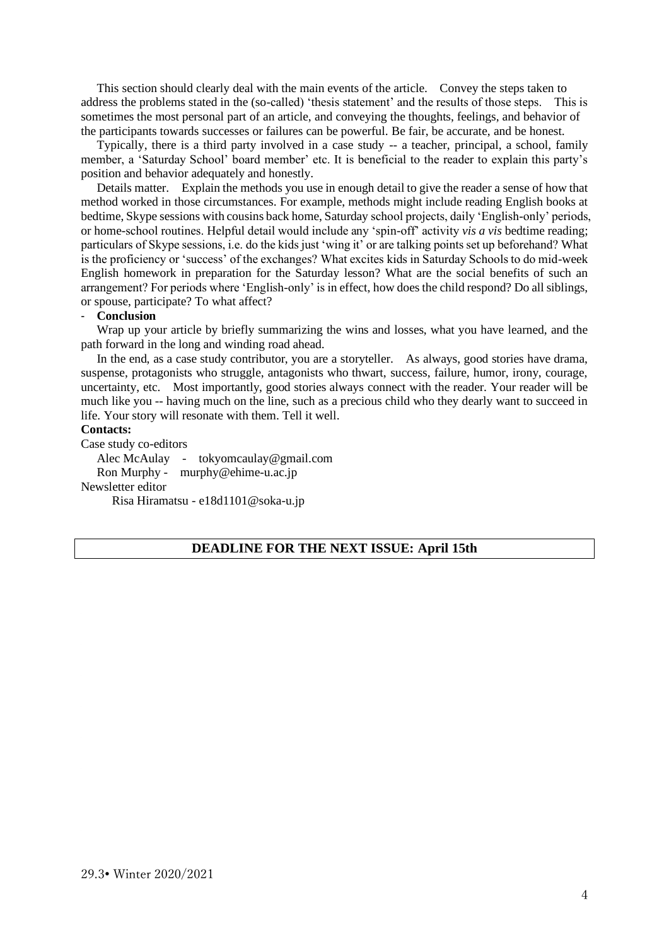This section should clearly deal with the main events of the article. Convey the steps taken to address the problems stated in the (so-called) 'thesis statement' and the results of those steps. This is sometimes the most personal part of an article, and conveying the thoughts, feelings, and behavior of the participants towards successes or failures can be powerful. Be fair, be accurate, and be honest.

Typically, there is a third party involved in a case study -- a teacher, principal, a school, family member, a 'Saturday School' board member' etc. It is beneficial to the reader to explain this party's position and behavior adequately and honestly.

Details matter. Explain the methods you use in enough detail to give the reader a sense of how that method worked in those circumstances. For example, methods might include reading English books at bedtime, Skype sessions with cousins back home, Saturday school projects, daily 'English-only' periods, or home-school routines. Helpful detail would include any 'spin-off' activity *vis a vis* bedtime reading; particulars of Skype sessions, i.e. do the kids just 'wing it' or are talking points set up beforehand? What is the proficiency or 'success' of the exchanges? What excites kids in Saturday Schools to do mid-week English homework in preparation for the Saturday lesson? What are the social benefits of such an arrangement? For periods where 'English-only' is in effect, how does the child respond? Do all siblings, or spouse, participate? To what affect?

## - **Conclusion**

Wrap up your article by briefly summarizing the wins and losses, what you have learned, and the path forward in the long and winding road ahead.

In the end, as a case study contributor, you are a storyteller. As always, good stories have drama, suspense, protagonists who struggle, antagonists who thwart, success, failure, humor, irony, courage, uncertainty, etc. Most importantly, good stories always connect with the reader. Your reader will be much like you -- having much on the line, such as a precious child who they dearly want to succeed in life. Your story will resonate with them. Tell it well.

#### **Contacts:**

Case study co-editors

Alec McAulay - tokyomcaulay@gmail.com Ron Murphy - murphy@ehime-u.ac.jp Newsletter editor

Risa Hiramatsu - [e18d1101@soka-u.jp](mailto:e18d1101@soka-u.jp)

# **DEADLINE FOR THE NEXT ISSUE: April 15th**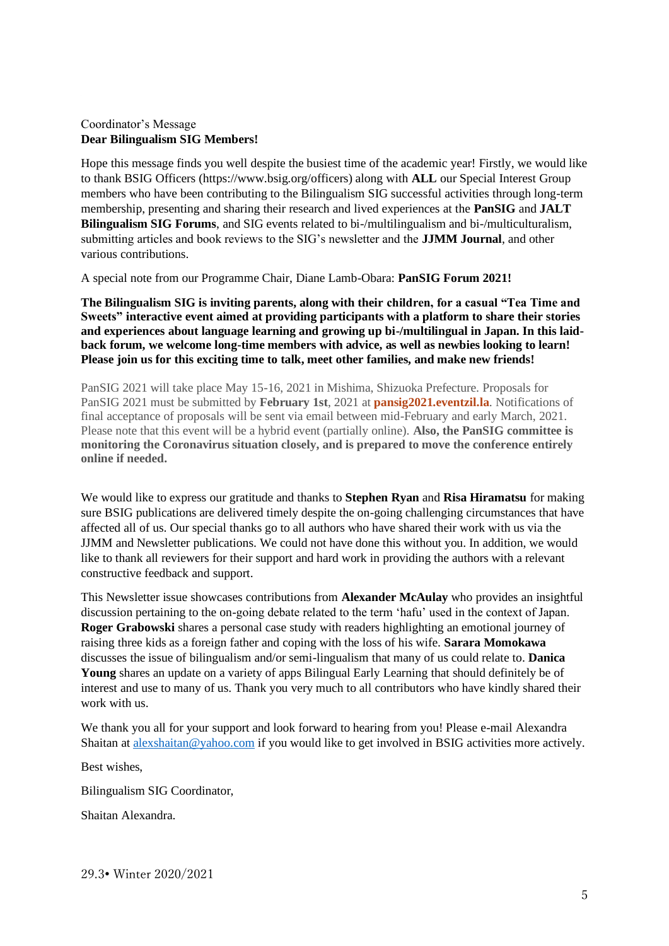# <span id="page-4-0"></span>Coordinator's Message **Dear Bilingualism SIG Members!**

Hope this message finds you well despite the busiest time of the academic year! Firstly, we would like to thank BSIG Officers (https://www.bsig.org/officers) along with **ALL** our Special Interest Group members who have been contributing to the Bilingualism SIG successful activities through long-term membership, presenting and sharing their research and lived experiences at the **PanSIG** and **JALT Bilingualism SIG Forums**, and SIG events related to bi-/multilingualism and bi-/multiculturalism, submitting articles and book reviews to the SIG's newsletter and the **JJMM Journal**, and other various contributions.

A special note from our Programme Chair, Diane Lamb-Obara: **PanSIG Forum 2021!**

**The Bilingualism SIG is inviting parents, along with their children, for a casual "Tea Time and Sweets" interactive event aimed at providing participants with a platform to share their stories and experiences about language learning and growing up bi-/multilingual in Japan. In this laidback forum, we welcome long-time members with advice, as well as newbies looking to learn! Please join us for this exciting time to talk, meet other families, and make new friends!**

PanSIG 2021 will take place May 15-16, 2021 in Mishima, Shizuoka Prefecture. Proposals for PanSIG 2021 must be submitted by **February 1st**, 2021 at **[pansig2021.eventzil.la](https://pansig2021.eventzil.la/)**. Notifications of final acceptance of proposals will be sent via email between mid-February and early March, 2021. Please note that this event will be a hybrid event (partially online). **Also, the PanSIG committee is monitoring the Coronavirus situation closely, and is prepared to move the conference entirely online if needed.**

We would like to express our gratitude and thanks to **Stephen Ryan** and **Risa Hiramatsu** for making sure BSIG publications are delivered timely despite the on-going challenging circumstances that have affected all of us. Our special thanks go to all authors who have shared their work with us via the JJMM and Newsletter publications. We could not have done this without you. In addition, we would like to thank all reviewers for their support and hard work in providing the authors with a relevant constructive feedback and support.

This Newsletter issue showcases contributions from **Alexander McAulay** who provides an insightful discussion pertaining to the on-going debate related to the term 'hafu' used in the context of Japan. **Roger Grabowski** shares a personal case study with readers highlighting an emotional journey of raising three kids as a foreign father and coping with the loss of his wife. **Sarara Momokawa** discusses the issue of bilingualism and/or semi-lingualism that many of us could relate to. **Danica Young** shares an update on a variety of apps Bilingual Early Learning that should definitely be of interest and use to many of us. Thank you very much to all contributors who have kindly shared their work with us.

We thank you all for your support and look forward to hearing from you! Please e-mail Alexandra Shaitan at [alexshaitan@yahoo.com](mailto:alexshaitan@yahoo.com) if you would like to get involved in BSIG activities more actively.

Best wishes,

Bilingualism SIG Coordinator,

Shaitan Alexandra.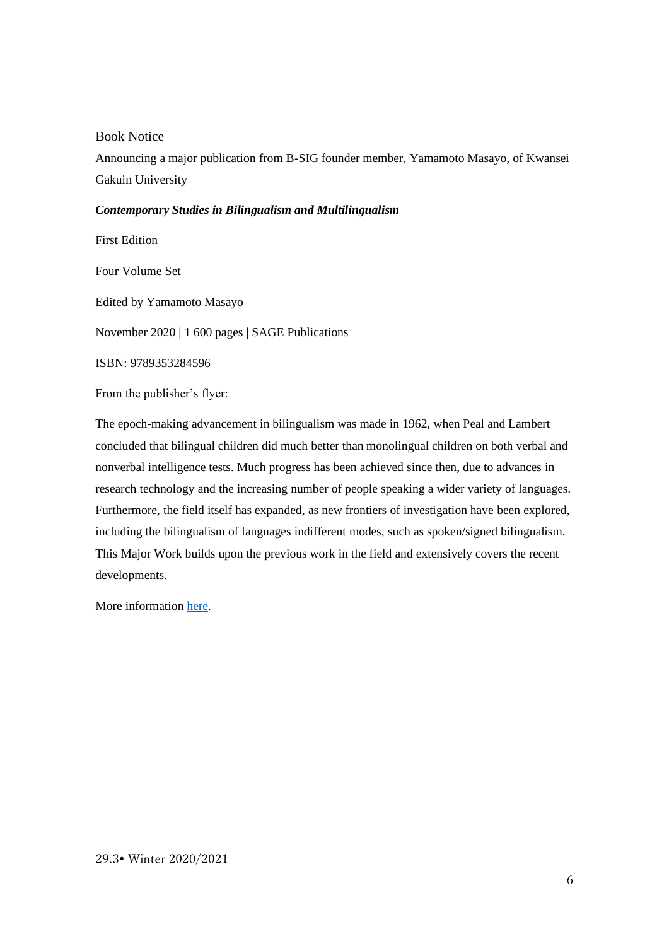<span id="page-5-0"></span>Book Notice

Announcing a major publication from B-SIG founder member, Yamamoto Masayo, of Kwansei Gakuin University

## *Contemporary Studies in Bilingualism and Multilingualism*

First Edition

Four Volume Set

Edited by Yamamoto Masayo

November 2020 | 1 600 pages | SAGE Publications

ISBN: 9789353284596

From the publisher's flyer:

The epoch-making advancement in bilingualism was made in 1962, when Peal and Lambert concluded that bilingual children did much better than monolingual children on both verbal and nonverbal intelligence tests. Much progress has been achieved since then, due to advances in research technology and the increasing number of people speaking a wider variety of languages. Furthermore, the field itself has expanded, as new frontiers of investigation have been explored, including the bilingualism of languages indifferent modes, such as spoken/signed bilingualism. This Major Work builds upon the previous work in the field and extensively covers the recent developments.

More information [here.](https://us.sagepub.com/en-us/nam/contemporary-studies-in-bilingualism-and-multilingualism/book269562#description)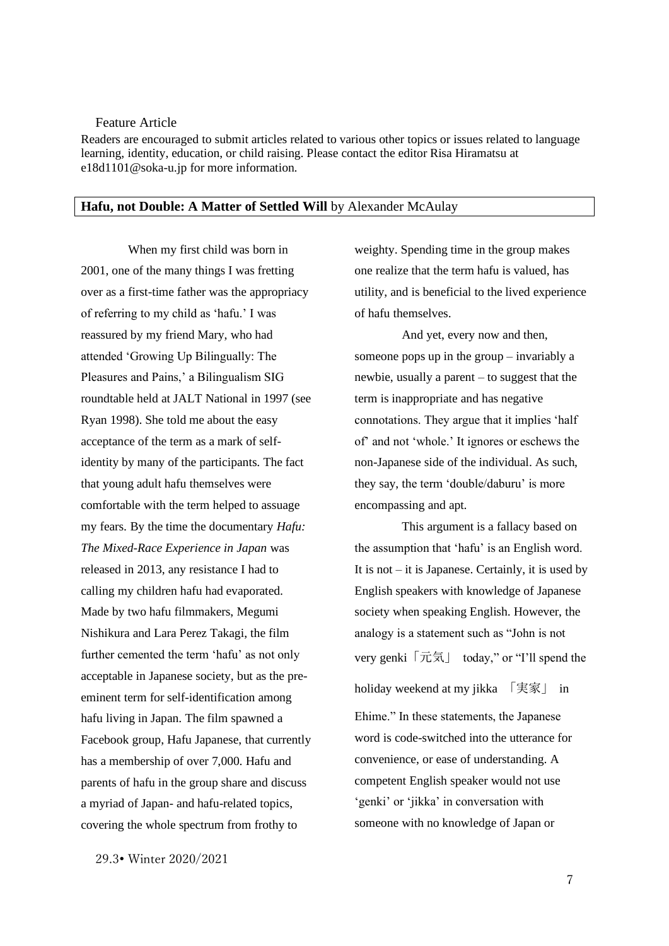#### <span id="page-6-0"></span>Feature Article

Readers are encouraged to submit articles related to various other topics or issues related to language learning, identity, education, or child raising. Please contact the editor Risa Hiramatsu at [e18d1101@soka-u.jp](mailto:e18d1101@soka-u.jp) for more information.

#### <span id="page-6-1"></span>**Hafu, not Double: A Matter of Settled Will** by Alexander McAulay

When my first child was born in 2001, one of the many things I was fretting over as a first-time father was the appropriacy of referring to my child as 'hafu.' I was reassured by my friend Mary, who had attended 'Growing Up Bilingually: The Pleasures and Pains,' a Bilingualism SIG roundtable held at JALT National in 1997 (see Ryan 1998). She told me about the easy acceptance of the term as a mark of selfidentity by many of the participants. The fact that young adult hafu themselves were comfortable with the term helped to assuage my fears. By the time the documentary *Hafu: The Mixed-Race Experience in Japan* was released in 2013, any resistance I had to calling my children hafu had evaporated. Made by two hafu filmmakers, Megumi Nishikura and Lara Perez Takagi, the film further cemented the term 'hafu' as not only acceptable in Japanese society, but as the preeminent term for self-identification among hafu living in Japan. The film spawned a Facebook group, Hafu Japanese, that currently has a membership of over 7,000. Hafu and parents of hafu in the group share and discuss a myriad of Japan- and hafu-related topics, covering the whole spectrum from frothy to

29.3• Winter 2020/2021

weighty. Spending time in the group makes one realize that the term hafu is valued, has utility, and is beneficial to the lived experience of hafu themselves.

And yet, every now and then, someone pops up in the group – invariably a newbie, usually a parent – to suggest that the term is inappropriate and has negative connotations. They argue that it implies 'half of' and not 'whole.' It ignores or eschews the non-Japanese side of the individual. As such, they say, the term 'double/daburu' is more encompassing and apt.

This argument is a fallacy based on the assumption that 'hafu' is an English word. It is not  $-$  it is Japanese. Certainly, it is used by English speakers with knowledge of Japanese society when speaking English. However, the analogy is a statement such as "John is not very genki「元気」 today," or "I'll spend the holiday weekend at my jikka 「実家」 in

Ehime." In these statements, the Japanese word is code-switched into the utterance for convenience, or ease of understanding. A competent English speaker would not use 'genki' or 'jikka' in conversation with someone with no knowledge of Japan or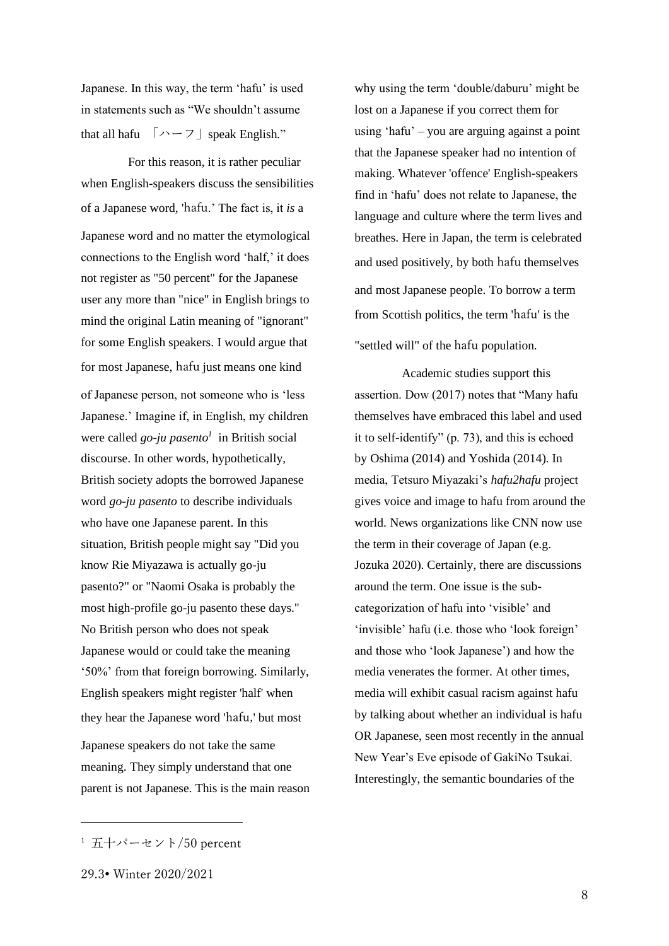Japanese. In this way, the term 'hafu' is used in statements such as "We shouldn't assume that all hafu 「ハーフ」speak English."

For this reason, it is rather peculiar when English-speakers discuss the sensibilities of a Japanese word, 'hafu.' The fact is, it *is* a Japanese word and no matter the etymological connections to the English word 'half,' it does not register as "50 percent" for the Japanese user any more than "nice" in English brings to mind the original Latin meaning of "ignorant" for some English speakers. I would argue that for most Japanese, hafu just means one kind of Japanese person, not someone who is 'less Japanese.' Imagine if, in English, my children were called *go-ju pasento<sup>1</sup>* in British social discourse. In other words, hypothetically, British society adopts the borrowed Japanese word *go-ju pasento* to describe individuals who have one Japanese parent. In this situation, British people might say "Did you know Rie Miyazawa is actually go-ju pasento?" or "Naomi Osaka is probably the most high-profile go-ju pasento these days." No British person who does not speak Japanese would or could take the meaning '50%' from that foreign borrowing. Similarly, English speakers might register 'half' when they hear the Japanese word 'hafu,' but most Japanese speakers do not take the same

meaning. They simply understand that one parent is not Japanese. This is the main reason why using the term 'double/daburu' might be lost on a Japanese if you correct them for using 'hafu' – you are arguing against a point that the Japanese speaker had no intention of making. Whatever 'offence' English-speakers find in 'hafu' does not relate to Japanese, the language and culture where the term lives and breathes. Here in Japan, the term is celebrated and used positively, by both hafu themselves and most Japanese people. To borrow a term from Scottish politics, the term 'hafu' is the "settled will" of the hafu population.

Academic studies support this assertion. Dow (2017) notes that "Many hafu themselves have embraced this label and used it to self-identify" (p. 73), and this is echoed by Oshima (2014) and Yoshida (2014). In media, Tetsuro Miyazaki's *hafu2hafu* project gives voice and image to hafu from around the world. News organizations like CNN now use the term in their coverage of Japan (e.g. Jozuka 2020). Certainly, there are discussions around the term. One issue is the subcategorization of hafu into 'visible' and 'invisible' hafu (i.e. those who 'look foreign' and those who 'look Japanese') and how the media venerates the former. At other times, media will exhibit casual racism against hafu by talking about whether an individual is hafu OR Japanese, seen most recently in the annual New Year's Eve episode of GakiNo Tsukai. Interestingly, the semantic boundaries of the

<sup>1</sup> 五十パーセント/50 percent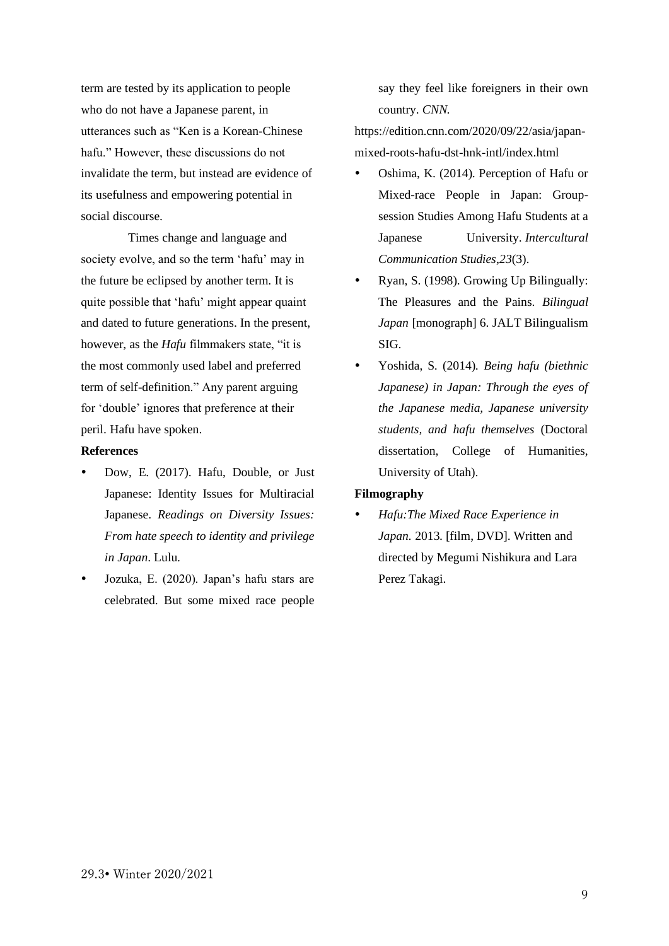term are tested by its application to people who do not have a Japanese parent, in utterances such as "Ken is a Korean-Chinese hafu." However, these discussions do not invalidate the term, but instead are evidence of its usefulness and empowering potential in social discourse.

Times change and language and society evolve, and so the term 'hafu' may in the future be eclipsed by another term. It is quite possible that 'hafu' might appear quaint and dated to future generations. In the present, however, as the *Hafu* filmmakers state, "it is the most commonly used label and preferred term of self-definition." Any parent arguing for 'double' ignores that preference at their peril. Hafu have spoken.

#### **References**

- Dow, E. (2017). Hafu, Double, or Just Japanese: Identity Issues for Multiracial Japanese. *Readings on Diversity Issues: From hate speech to identity and privilege in Japan*. Lulu.
- Jozuka, E. (2020). Japan's hafu stars are celebrated. But some mixed race people

say they feel like foreigners in their own country. *CNN.* 

[https://edition.cnn.com/2020/09/22/asia/japan](https://edition.cnn.com/2020/09/22/asia/japan-mixed-roots-hafu-dst-hnk-intl/index.html)[mixed-roots-hafu-dst-hnk-intl/index.html](https://edition.cnn.com/2020/09/22/asia/japan-mixed-roots-hafu-dst-hnk-intl/index.html)

- Oshima, K. (2014). Perception of Hafu or Mixed-race People in Japan: Groupsession Studies Among Hafu Students at a Japanese University. *Intercultural Communication Studies*,*23*(3).
- Ryan, S. (1998). Growing Up Bilingually: The Pleasures and the Pains. *Bilingual Japan* [monograph] 6. JALT Bilingualism SIG.
- Yoshida, S. (2014). *Being hafu (biethnic Japanese) in Japan: Through the eyes of the Japanese media, Japanese university students, and hafu themselves* (Doctoral dissertation, College of Humanities, University of Utah).

#### **Filmography**

 *Hafu:The Mixed Race Experience in Japan.* 2013. [film, DVD]. Written and directed by Megumi Nishikura and Lara Perez Takagi.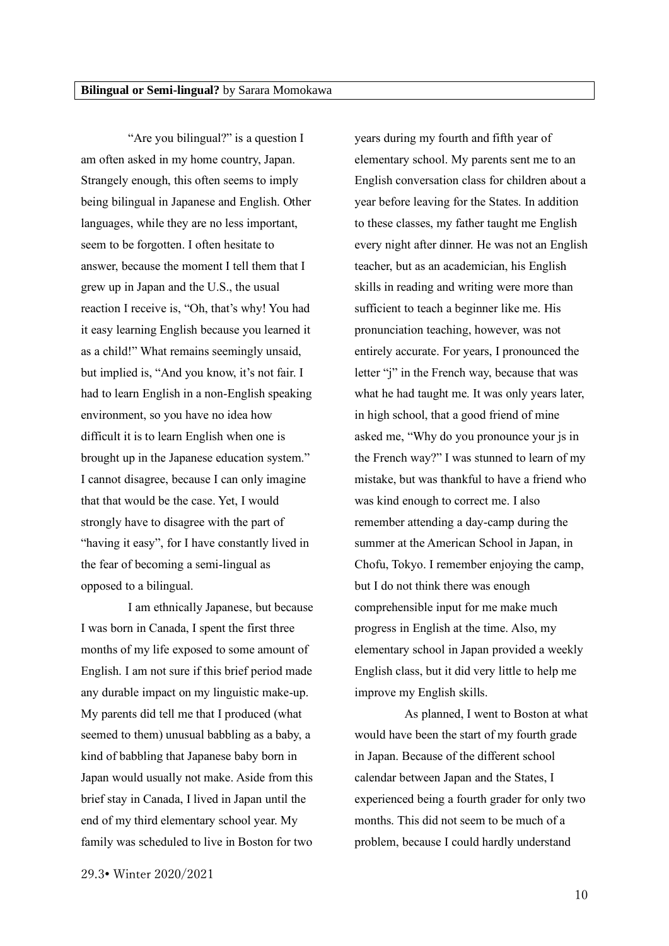<span id="page-9-0"></span>"Are you bilingual?" is a question I am often asked in my home country, Japan. Strangely enough, this often seems to imply being bilingual in Japanese and English. Other languages, while they are no less important, seem to be forgotten. I often hesitate to answer, because the moment I tell them that I grew up in Japan and the U.S., the usual reaction I receive is, "Oh, that's why! You had it easy learning English because you learned it as a child!" What remains seemingly unsaid, but implied is, "And you know, it's not fair. I had to learn English in a non-English speaking environment, so you have no idea how difficult it is to learn English when one is brought up in the Japanese education system." I cannot disagree, because I can only imagine that that would be the case. Yet, I would strongly have to disagree with the part of "having it easy", for I have constantly lived in the fear of becoming a semi-lingual as opposed to a bilingual.

I am ethnically Japanese, but because I was born in Canada, I spent the first three months of my life exposed to some amount of English. I am not sure if this brief period made any durable impact on my linguistic make-up. My parents did tell me that I produced (what seemed to them) unusual babbling as a baby, a kind of babbling that Japanese baby born in Japan would usually not make. Aside from this brief stay in Canada, I lived in Japan until the end of my third elementary school year. My family was scheduled to live in Boston for two

years during my fourth and fifth year of elementary school. My parents sent me to an English conversation class for children about a year before leaving for the States. In addition to these classes, my father taught me English every night after dinner. He was not an English teacher, but as an academician, his English skills in reading and writing were more than sufficient to teach a beginner like me. His pronunciation teaching, however, was not entirely accurate. For years, I pronounced the letter "j" in the French way, because that was what he had taught me. It was only years later, in high school, that a good friend of mine asked me, "Why do you pronounce your js in the French way?" I was stunned to learn of my mistake, but was thankful to have a friend who was kind enough to correct me. I also remember attending a day-camp during the summer at the American School in Japan, in Chofu, Tokyo. I remember enjoying the camp, but I do not think there was enough comprehensible input for me make much progress in English at the time. Also, my elementary school in Japan provided a weekly English class, but it did very little to help me improve my English skills.

As planned, I went to Boston at what would have been the start of my fourth grade in Japan. Because of the different school calendar between Japan and the States, I experienced being a fourth grader for only two months. This did not seem to be much of a problem, because I could hardly understand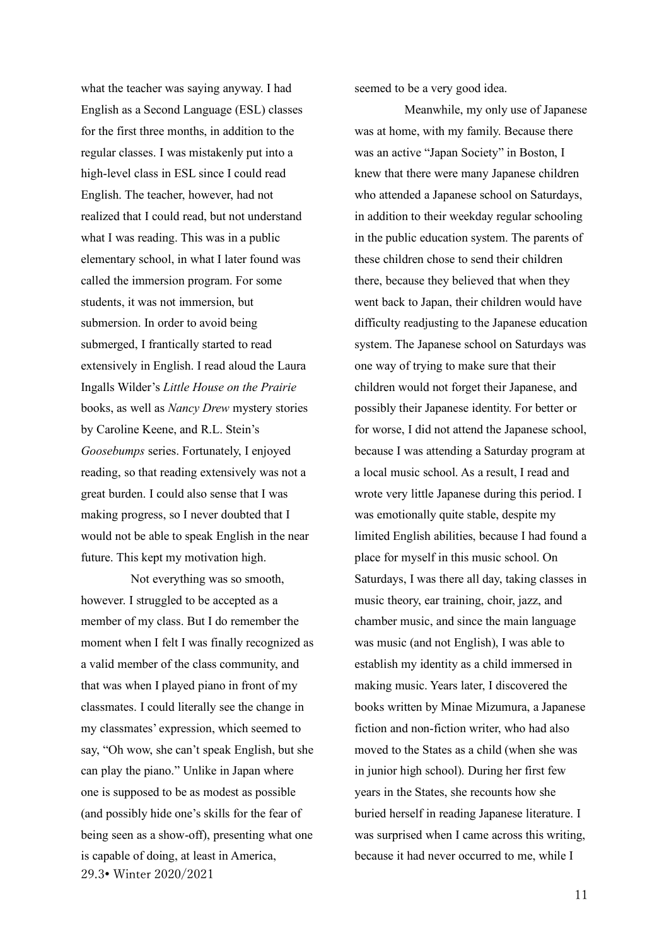what the teacher was saying anyway. I had English as a Second Language (ESL) classes for the first three months, in addition to the regular classes. I was mistakenly put into a high-level class in ESL since I could read English. The teacher, however, had not realized that I could read, but not understand what I was reading. This was in a public elementary school, in what I later found was called the immersion program. For some students, it was not immersion, but submersion. In order to avoid being submerged, I frantically started to read extensively in English. I read aloud the Laura Ingalls Wilder's *Little House on the Prairie* books, as well as *Nancy Drew* mystery stories by Caroline Keene, and R.L. Stein's *Goosebumps* series. Fortunately, I enjoyed reading, so that reading extensively was not a great burden. I could also sense that I was making progress, so I never doubted that I would not be able to speak English in the near future. This kept my motivation high.

29.3• Winter 2020/2021 Not everything was so smooth, however. I struggled to be accepted as a member of my class. But I do remember the moment when I felt I was finally recognized as a valid member of the class community, and that was when I played piano in front of my classmates. I could literally see the change in my classmates' expression, which seemed to say, "Oh wow, she can't speak English, but she can play the piano." Unlike in Japan where one is supposed to be as modest as possible (and possibly hide one's skills for the fear of being seen as a show-off), presenting what one is capable of doing, at least in America,

seemed to be a very good idea.

Meanwhile, my only use of Japanese was at home, with my family. Because there was an active "Japan Society" in Boston, I knew that there were many Japanese children who attended a Japanese school on Saturdays, in addition to their weekday regular schooling in the public education system. The parents of these children chose to send their children there, because they believed that when they went back to Japan, their children would have difficulty readjusting to the Japanese education system. The Japanese school on Saturdays was one way of trying to make sure that their children would not forget their Japanese, and possibly their Japanese identity. For better or for worse, I did not attend the Japanese school, because I was attending a Saturday program at a local music school. As a result, I read and wrote very little Japanese during this period. I was emotionally quite stable, despite my limited English abilities, because I had found a place for myself in this music school. On Saturdays, I was there all day, taking classes in music theory, ear training, choir, jazz, and chamber music, and since the main language was music (and not English), I was able to establish my identity as a child immersed in making music. Years later, I discovered the books written by Minae Mizumura, a Japanese fiction and non-fiction writer, who had also moved to the States as a child (when she was in junior high school). During her first few years in the States, she recounts how she buried herself in reading Japanese literature. I was surprised when I came across this writing, because it had never occurred to me, while I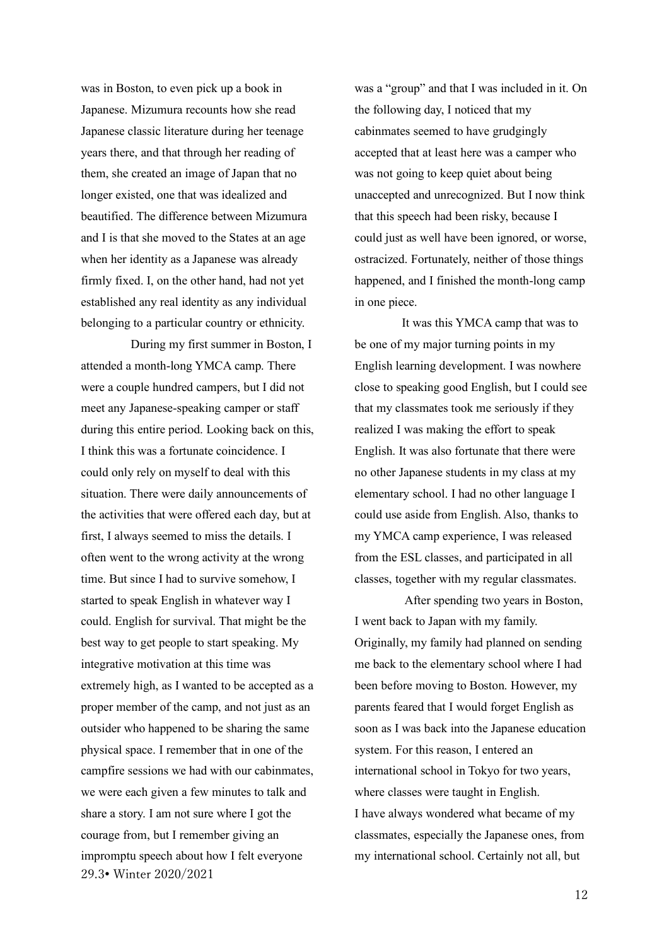was in Boston, to even pick up a book in Japanese. Mizumura recounts how she read Japanese classic literature during her teenage years there, and that through her reading of them, she created an image of Japan that no longer existed, one that was idealized and beautified. The difference between Mizumura and I is that she moved to the States at an age when her identity as a Japanese was already firmly fixed. I, on the other hand, had not yet established any real identity as any individual belonging to a particular country or ethnicity.

29.3• Winter 2020/2021 During my first summer in Boston, I attended a month-long YMCA camp. There were a couple hundred campers, but I did not meet any Japanese-speaking camper or staff during this entire period. Looking back on this, I think this was a fortunate coincidence. I could only rely on myself to deal with this situation. There were daily announcements of the activities that were offered each day, but at first, I always seemed to miss the details. I often went to the wrong activity at the wrong time. But since I had to survive somehow, I started to speak English in whatever way I could. English for survival. That might be the best way to get people to start speaking. My integrative motivation at this time was extremely high, as I wanted to be accepted as a proper member of the camp, and not just as an outsider who happened to be sharing the same physical space. I remember that in one of the campfire sessions we had with our cabinmates, we were each given a few minutes to talk and share a story. I am not sure where I got the courage from, but I remember giving an impromptu speech about how I felt everyone

was a "group" and that I was included in it. On the following day, I noticed that my cabinmates seemed to have grudgingly accepted that at least here was a camper who was not going to keep quiet about being unaccepted and unrecognized. But I now think that this speech had been risky, because I could just as well have been ignored, or worse, ostracized. Fortunately, neither of those things happened, and I finished the month-long camp in one piece.

It was this YMCA camp that was to be one of my major turning points in my English learning development. I was nowhere close to speaking good English, but I could see that my classmates took me seriously if they realized I was making the effort to speak English. It was also fortunate that there were no other Japanese students in my class at my elementary school. I had no other language I could use aside from English. Also, thanks to my YMCA camp experience, I was released from the ESL classes, and participated in all classes, together with my regular classmates.

After spending two years in Boston, I went back to Japan with my family. Originally, my family had planned on sending me back to the elementary school where I had been before moving to Boston. However, my parents feared that I would forget English as soon as I was back into the Japanese education system. For this reason, I entered an international school in Tokyo for two years, where classes were taught in English. I have always wondered what became of my classmates, especially the Japanese ones, from my international school. Certainly not all, but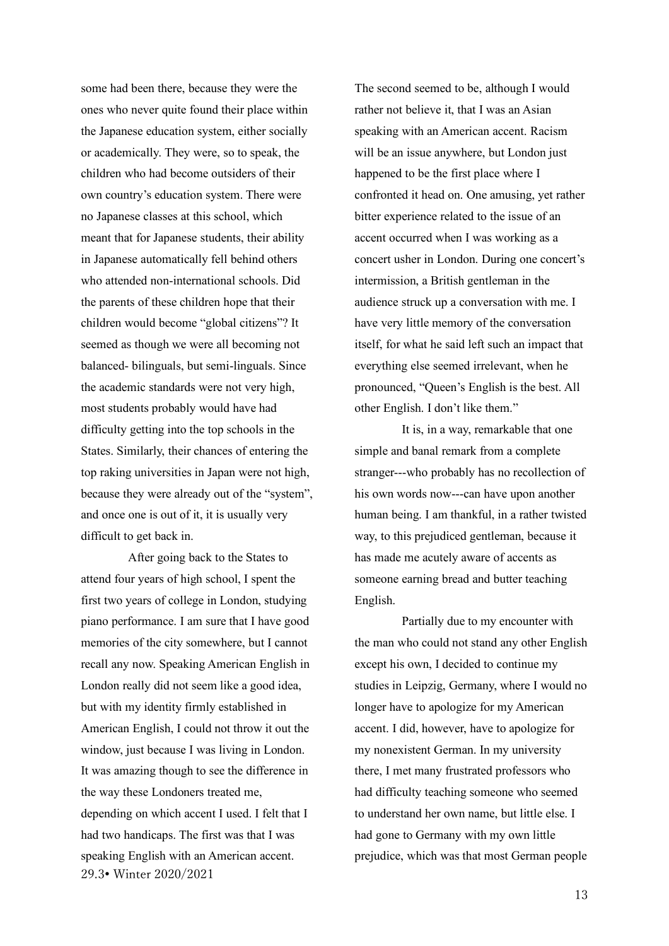some had been there, because they were the ones who never quite found their place within the Japanese education system, either socially or academically. They were, so to speak, the children who had become outsiders of their own country's education system. There were no Japanese classes at this school, which meant that for Japanese students, their ability in Japanese automatically fell behind others who attended non-international schools. Did the parents of these children hope that their children would become "global citizens"? It seemed as though we were all becoming not balanced- bilinguals, but semi-linguals. Since the academic standards were not very high, most students probably would have had difficulty getting into the top schools in the States. Similarly, their chances of entering the top raking universities in Japan were not high, because they were already out of the "system", and once one is out of it, it is usually very difficult to get back in.

29.3• Winter 2020/2021 After going back to the States to attend four years of high school, I spent the first two years of college in London, studying piano performance. I am sure that I have good memories of the city somewhere, but I cannot recall any now. Speaking American English in London really did not seem like a good idea, but with my identity firmly established in American English, I could not throw it out the window, just because I was living in London. It was amazing though to see the difference in the way these Londoners treated me, depending on which accent I used. I felt that I had two handicaps. The first was that I was speaking English with an American accent.

The second seemed to be, although I would rather not believe it, that I was an Asian speaking with an American accent. Racism will be an issue anywhere, but London just happened to be the first place where I confronted it head on. One amusing, yet rather bitter experience related to the issue of an accent occurred when I was working as a concert usher in London. During one concert's intermission, a British gentleman in the audience struck up a conversation with me. I have very little memory of the conversation itself, for what he said left such an impact that everything else seemed irrelevant, when he pronounced, "Queen's English is the best. All other English. I don't like them."

It is, in a way, remarkable that one simple and banal remark from a complete stranger---who probably has no recollection of his own words now---can have upon another human being. I am thankful, in a rather twisted way, to this prejudiced gentleman, because it has made me acutely aware of accents as someone earning bread and butter teaching English.

Partially due to my encounter with the man who could not stand any other English except his own, I decided to continue my studies in Leipzig, Germany, where I would no longer have to apologize for my American accent. I did, however, have to apologize for my nonexistent German. In my university there, I met many frustrated professors who had difficulty teaching someone who seemed to understand her own name, but little else. I had gone to Germany with my own little prejudice, which was that most German people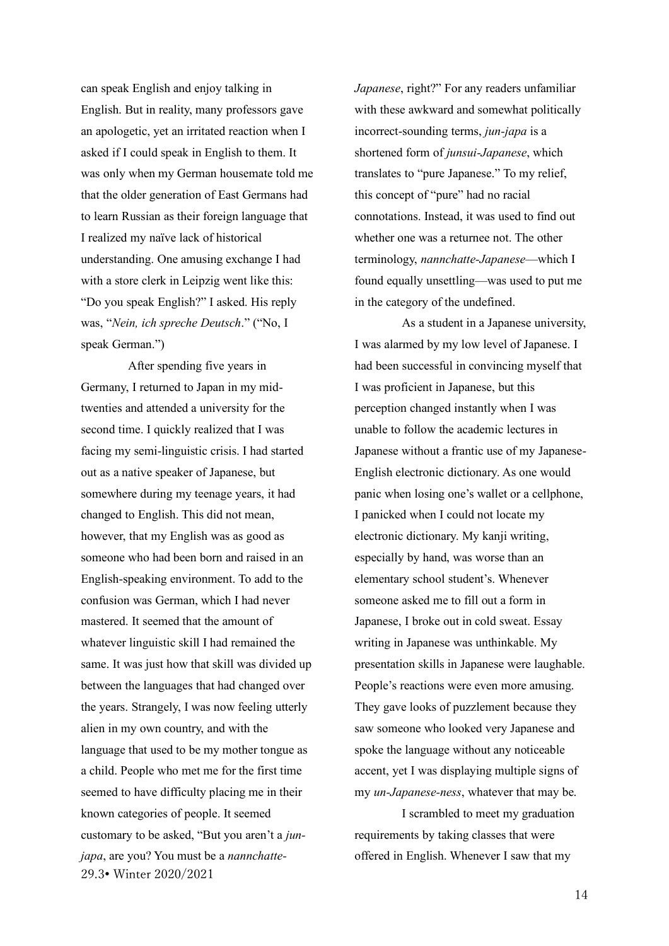can speak English and enjoy talking in English. But in reality, many professors gave an apologetic, yet an irritated reaction when I asked if I could speak in English to them. It was only when my German housemate told me that the older generation of East Germans had to learn Russian as their foreign language that I realized my naïve lack of historical understanding. One amusing exchange I had with a store clerk in Leipzig went like this: "Do you speak English?" I asked. His reply was, "*Nein, ich spreche Deutsch*." ("No, I speak German.")

29.3• Winter 2020/2021 After spending five years in Germany, I returned to Japan in my midtwenties and attended a university for the second time. I quickly realized that I was facing my semi-linguistic crisis. I had started out as a native speaker of Japanese, but somewhere during my teenage years, it had changed to English. This did not mean, however, that my English was as good as someone who had been born and raised in an English-speaking environment. To add to the confusion was German, which I had never mastered. It seemed that the amount of whatever linguistic skill I had remained the same. It was just how that skill was divided up between the languages that had changed over the years. Strangely, I was now feeling utterly alien in my own country, and with the language that used to be my mother tongue as a child. People who met me for the first time seemed to have difficulty placing me in their known categories of people. It seemed customary to be asked, "But you aren't a *junjapa*, are you? You must be a *nannchatte-* *Japanese*, right?" For any readers unfamiliar with these awkward and somewhat politically incorrect-sounding terms, *jun-japa* is a shortened form of *junsui-Japanese*, which translates to "pure Japanese." To my relief, this concept of "pure" had no racial connotations. Instead, it was used to find out whether one was a returnee not. The other terminology, *nannchatte-Japanese*—which I found equally unsettling—was used to put me in the category of the undefined.

As a student in a Japanese university, I was alarmed by my low level of Japanese. I had been successful in convincing myself that I was proficient in Japanese, but this perception changed instantly when I was unable to follow the academic lectures in Japanese without a frantic use of my Japanese-English electronic dictionary. As one would panic when losing one's wallet or a cellphone, I panicked when I could not locate my electronic dictionary. My kanji writing, especially by hand, was worse than an elementary school student's. Whenever someone asked me to fill out a form in Japanese, I broke out in cold sweat. Essay writing in Japanese was unthinkable. My presentation skills in Japanese were laughable. People's reactions were even more amusing. They gave looks of puzzlement because they saw someone who looked very Japanese and spoke the language without any noticeable accent, yet I was displaying multiple signs of my *un-Japanese-ness*, whatever that may be.

I scrambled to meet my graduation requirements by taking classes that were offered in English. Whenever I saw that my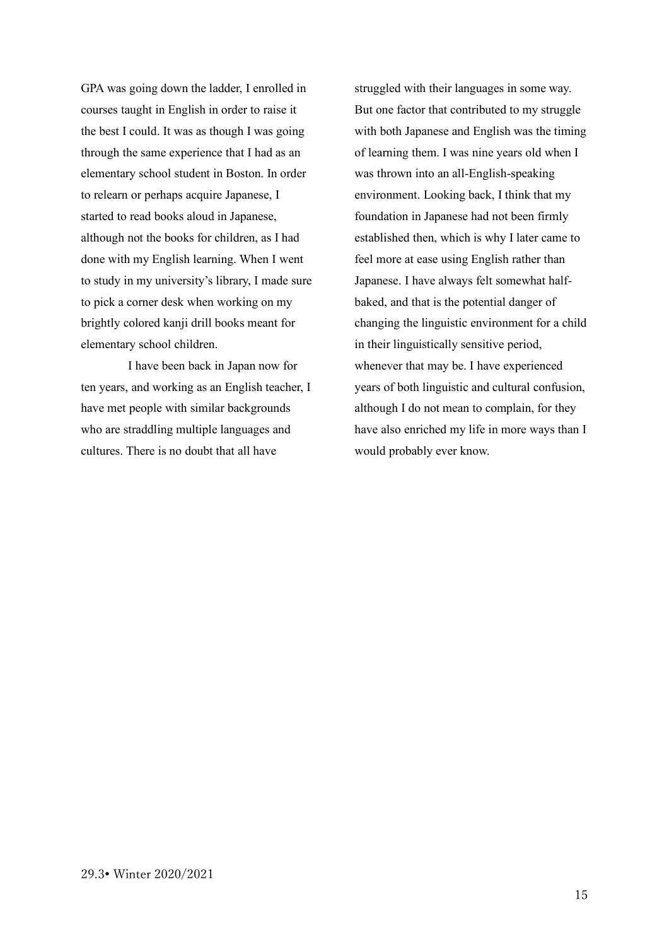GPA was going down the ladder, I enrolled in courses taught in English in order to raise it the best I could. It was as though I was going through the same experience that I had as an elementary school student in Boston. In order to relearn or perhaps acquire Japanese, I started to read books aloud in Japanese, although not the books for children, as I had done with my English learning. When I went to study in my university's library, I made sure to pick a corner desk when working on my brightly colored kanji drill books meant for elementary school children.

I have been back in Japan now for ten years, and working as an English teacher, I have met people with similar backgrounds who are straddling multiple languages and cultures. There is no doubt that all have

struggled with their languages in some way. But one factor that contributed to my struggle with both Japanese and English was the timing of learning them. I was nine years old when I was thrown into an all-English-speaking environment. Looking back, I think that my foundation in Japanese had not been firmly established then, which is why I later came to feel more at ease using English rather than Japanese. I have always felt somewhat halfbaked, and that is the potential danger of changing the linguistic environment for a child in their linguistically sensitive period, whenever that may be. I have experienced years of both linguistic and cultural confusion, although I do not mean to complain, for they have also enriched my life in more ways than I would probably ever know.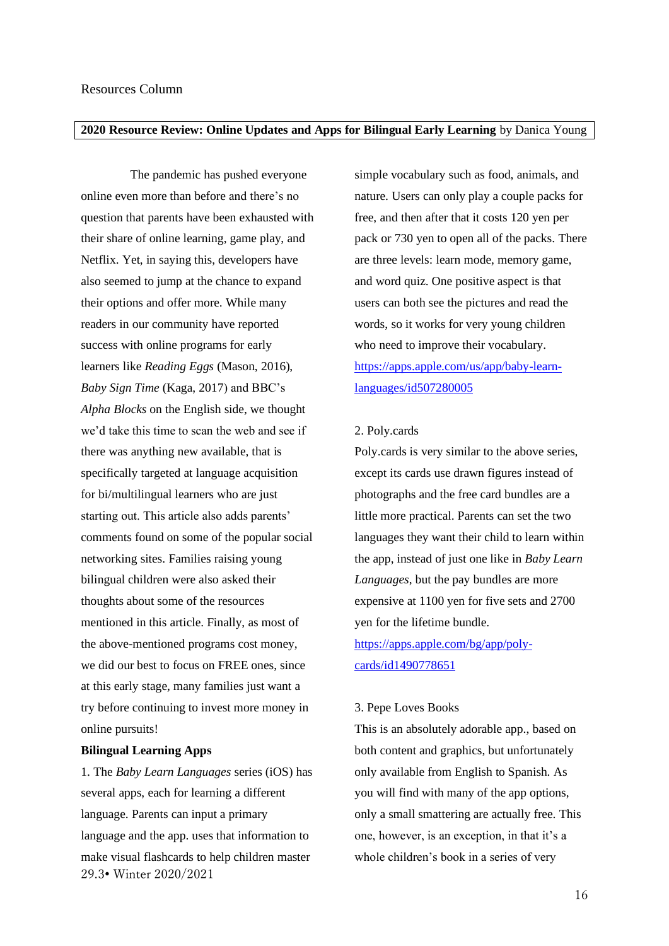#### <span id="page-15-1"></span><span id="page-15-0"></span>**2020 Resource Review: Online Updates and Apps for Bilingual Early Learning** by Danica Young

The pandemic has pushed everyone online even more than before and there's no question that parents have been exhausted with their share of online learning, game play, and Netflix. Yet, in saying this, developers have also seemed to jump at the chance to expand their options and offer more. While many readers in our community have reported success with online programs for early learners like *Reading Eggs* (Mason, 2016), *Baby Sign Time* (Kaga, 2017) and BBC's *Alpha Blocks* on the English side, we thought we'd take this time to scan the web and see if there was anything new available, that is specifically targeted at language acquisition for bi/multilingual learners who are just starting out. This article also adds parents' comments found on some of the popular social networking sites. Families raising young bilingual children were also asked their thoughts about some of the resources mentioned in this article. Finally, as most of the above-mentioned programs cost money, we did our best to focus on FREE ones, since at this early stage, many families just want a try before continuing to invest more money in online pursuits!

#### **Bilingual Learning Apps**

29.3• Winter 2020/2021 1. The *Baby Learn Languages* series (iOS) has several apps, each for learning a different language. Parents can input a primary language and the app. uses that information to make visual flashcards to help children master

simple vocabulary such as food, animals, and nature. Users can only play a couple packs for free, and then after that it costs 120 yen per pack or 730 yen to open all of the packs. There are three levels: learn mode, memory game, and word quiz. One positive aspect is that users can both see the pictures and read the words, so it works for very young children who need to improve their vocabulary. [https://apps.apple.com/us/app/baby-learn](https://apps.apple.com/us/app/baby-learn-languages/id507280005)[languages/id507280005](https://apps.apple.com/us/app/baby-learn-languages/id507280005)

#### 2. Poly.cards

Poly.cards is very similar to the above series, except its cards use drawn figures instead of photographs and the free card bundles are a little more practical. Parents can set the two languages they want their child to learn within the app, instead of just one like in *Baby Learn Languages*, but the pay bundles are more expensive at 1100 yen for five sets and 2700 yen for the lifetime bundle. https://apps.apple.com/bg/app/polycards/id1490778651

#### 3. Pepe Loves Books

This is an absolutely adorable app., based on both content and graphics, but unfortunately only available from English to Spanish. As you will find with many of the app options, only a small smattering are actually free. This one, however, is an exception, in that it's a whole children's book in a series of very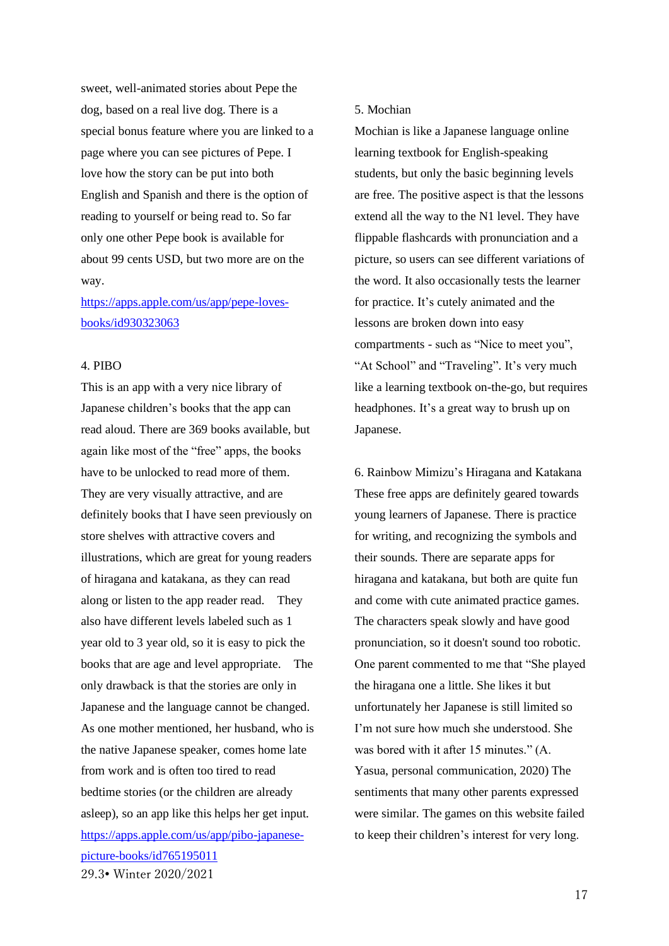sweet, well-animated stories about Pepe the dog, based on a real live dog. There is a special bonus feature where you are linked to a page where you can see pictures of Pepe. I love how the story can be put into both English and Spanish and there is the option of reading to yourself or being read to. So far only one other Pepe book is available for about 99 cents USD, but two more are on the way.

# [https://apps.apple.com/us/app/pepe-loves](https://apps.apple.com/us/app/pepe-loves-books/id930323063)[books/id930323063](https://apps.apple.com/us/app/pepe-loves-books/id930323063)

#### 4. PIBO

29.3• Winter 2020/2021 This is an app with a very nice library of Japanese children's books that the app can read aloud. There are 369 books available, but again like most of the "free" apps, the books have to be unlocked to read more of them. They are very visually attractive, and are definitely books that I have seen previously on store shelves with attractive covers and illustrations, which are great for young readers of hiragana and katakana, as they can read along or listen to the app reader read. They also have different levels labeled such as 1 year old to 3 year old, so it is easy to pick the books that are age and level appropriate. The only drawback is that the stories are only in Japanese and the language cannot be changed. As one mother mentioned, her husband, who is the native Japanese speaker, comes home late from work and is often too tired to read bedtime stories (or the children are already asleep), so an app like this helps her get input. [https://apps.apple.com/us/app/pibo-japanese](https://apps.apple.com/us/app/pibo-japanese-picture-books/id765195011)[picture-books/id765195011](https://apps.apple.com/us/app/pibo-japanese-picture-books/id765195011)

#### 5. Mochian

Mochian is like a Japanese language online learning textbook for English-speaking students, but only the basic beginning levels are free. The positive aspect is that the lessons extend all the way to the N1 level. They have flippable flashcards with pronunciation and a picture, so users can see different variations of the word. It also occasionally tests the learner for practice. It's cutely animated and the lessons are broken down into easy compartments - such as "Nice to meet you", "At School" and "Traveling". It's very much like a learning textbook on-the-go, but requires headphones. It's a great way to brush up on Japanese.

6. Rainbow Mimizu's Hiragana and Katakana These free apps are definitely geared towards young learners of Japanese. There is practice for writing, and recognizing the symbols and their sounds. There are separate apps for hiragana and katakana, but both are quite fun and come with cute animated practice games. The characters speak slowly and have good pronunciation, so it doesn't sound too robotic. One parent commented to me that "She played the hiragana one a little. She likes it but unfortunately her Japanese is still limited so I'm not sure how much she understood. She was bored with it after 15 minutes." (A. Yasua, personal communication, 2020) The sentiments that many other parents expressed were similar. The games on this website failed to keep their children's interest for very long.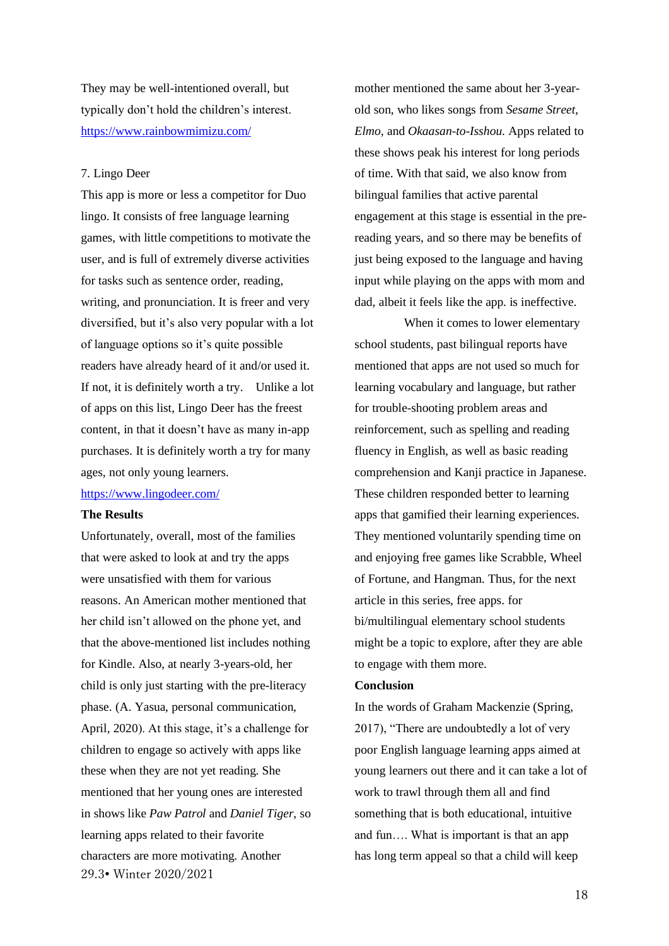They may be well-intentioned overall, but typically don't hold the children's interest. <https://www.rainbowmimizu.com/>

#### 7. Lingo Deer

This app is more or less a competitor for Duo lingo. It consists of free language learning games, with little competitions to motivate the user, and is full of extremely diverse activities for tasks such as sentence order, reading, writing, and pronunciation. It is freer and very diversified, but it's also very popular with a lot of language options so it's quite possible readers have already heard of it and/or used it. If not, it is definitely worth a try. Unlike a lot of apps on this list, Lingo Deer has the freest content, in that it doesn't have as many in-app purchases. It is definitely worth a try for many ages, not only young learners.

# <https://www.lingodeer.com/>

## **The Results**

29.3• Winter 2020/2021 Unfortunately, overall, most of the families that were asked to look at and try the apps were unsatisfied with them for various reasons. An American mother mentioned that her child isn't allowed on the phone yet, and that the above-mentioned list includes nothing for Kindle. Also, at nearly 3-years-old, her child is only just starting with the pre-literacy phase. (A. Yasua, personal communication, April, 2020). At this stage, it's a challenge for children to engage so actively with apps like these when they are not yet reading. She mentioned that her young ones are interested in shows like *Paw Patrol* and *Daniel Tiger*, so learning apps related to their favorite characters are more motivating. Another

mother mentioned the same about her 3-yearold son, who likes songs from *Sesame Street*, *Elmo*, and *Okaasan-to-Isshou*. Apps related to these shows peak his interest for long periods of time. With that said, we also know from bilingual families that active parental engagement at this stage is essential in the prereading years, and so there may be benefits of just being exposed to the language and having input while playing on the apps with mom and dad, albeit it feels like the app. is ineffective.

When it comes to lower elementary school students, past bilingual reports have mentioned that apps are not used so much for learning vocabulary and language, but rather for trouble-shooting problem areas and reinforcement, such as spelling and reading fluency in English, as well as basic reading comprehension and Kanji practice in Japanese. These children responded better to learning apps that gamified their learning experiences. They mentioned voluntarily spending time on and enjoying free games like Scrabble, Wheel of Fortune, and Hangman. Thus, for the next article in this series, free apps. for bi/multilingual elementary school students might be a topic to explore, after they are able to engage with them more.

#### **Conclusion**

In the words of Graham Mackenzie (Spring, 2017), "There are undoubtedly a lot of very poor English language learning apps aimed at young learners out there and it can take a lot of work to trawl through them all and find something that is both educational, intuitive and fun…. What is important is that an app has long term appeal so that a child will keep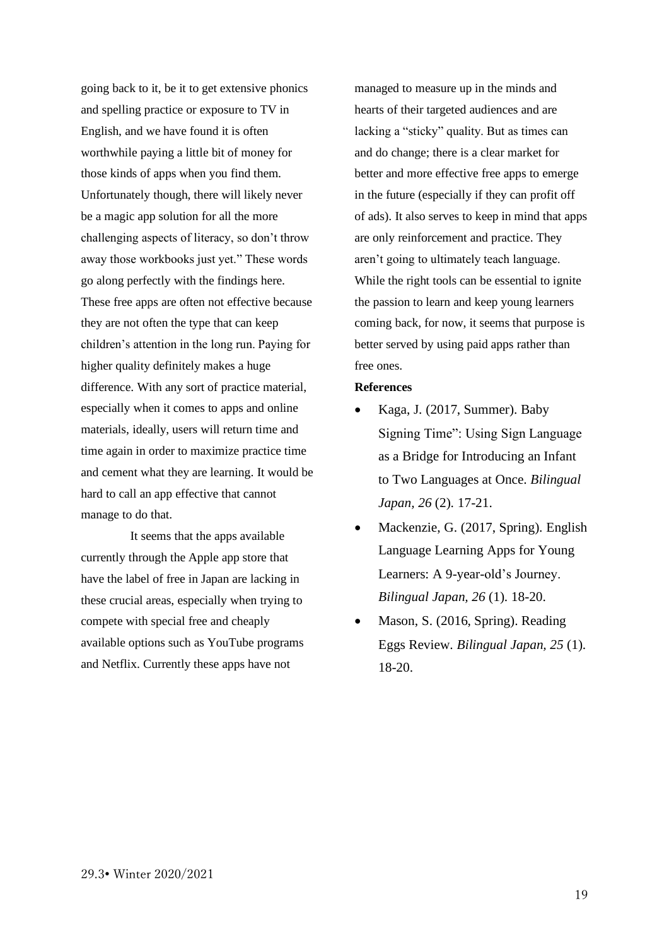going back to it, be it to get extensive phonics and spelling practice or exposure to TV in English, and we have found it is often worthwhile paying a little bit of money for those kinds of apps when you find them. Unfortunately though, there will likely never be a magic app solution for all the more challenging aspects of literacy, so don't throw away those workbooks just yet." These words go along perfectly with the findings here. These free apps are often not effective because they are not often the type that can keep children's attention in the long run. Paying for higher quality definitely makes a huge difference. With any sort of practice material, especially when it comes to apps and online materials, ideally, users will return time and time again in order to maximize practice time and cement what they are learning. It would be hard to call an app effective that cannot manage to do that.

It seems that the apps available currently through the Apple app store that have the label of free in Japan are lacking in these crucial areas, especially when trying to compete with special free and cheaply available options such as YouTube programs and Netflix. Currently these apps have not

managed to measure up in the minds and hearts of their targeted audiences and are lacking a "sticky" quality. But as times can and do change; there is a clear market for better and more effective free apps to emerge in the future (especially if they can profit off of ads). It also serves to keep in mind that apps are only reinforcement and practice. They aren't going to ultimately teach language. While the right tools can be essential to ignite the passion to learn and keep young learners coming back, for now, it seems that purpose is better served by using paid apps rather than free ones.

#### **References**

- Kaga, J. (2017, Summer). Baby Signing Time": Using Sign Language as a Bridge for Introducing an Infant to Two Languages at Once. *Bilingual Japan, 26* (2). 17-21.
- Mackenzie, G. (2017, Spring). English Language Learning Apps for Young Learners: A 9-year-old's Journey. *Bilingual Japan, 26* (1). 18-20.
- Mason, S. (2016, Spring). Reading Eggs Review. *Bilingual Japan, 25* (1). 18-20.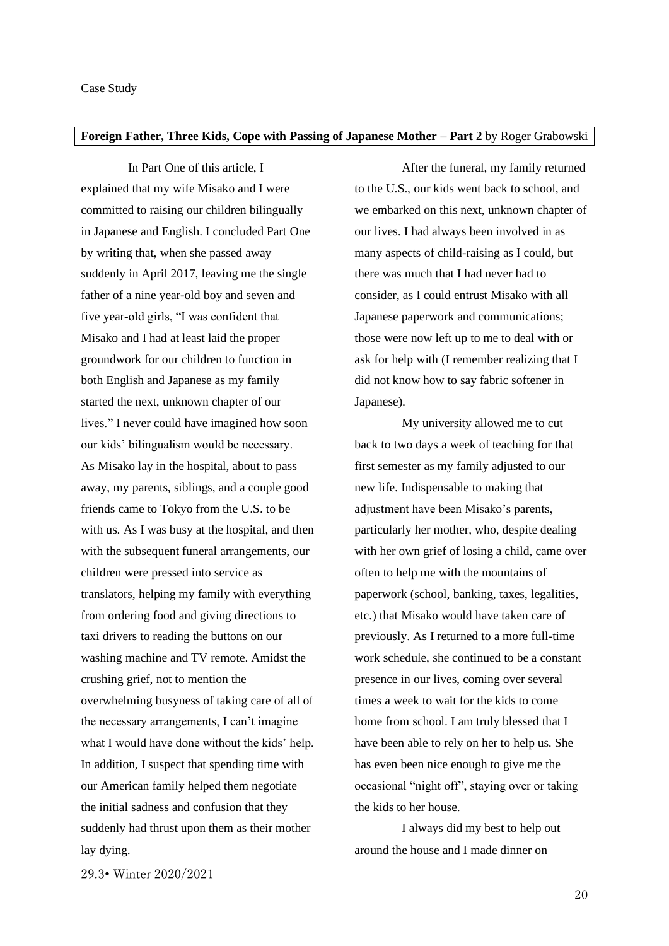## <span id="page-19-1"></span><span id="page-19-0"></span>**Foreign Father, Three Kids, Cope with Passing of Japanese Mother – Part 2** by Roger Grabowski

In Part One of this article, I explained that my wife Misako and I were committed to raising our children bilingually in Japanese and English. I concluded Part One by writing that, when she passed away suddenly in April 2017, leaving me the single father of a nine year-old boy and seven and five year-old girls, "I was confident that Misako and I had at least laid the proper groundwork for our children to function in both English and Japanese as my family started the next, unknown chapter of our lives." I never could have imagined how soon our kids' bilingualism would be necessary. As Misako lay in the hospital, about to pass away, my parents, siblings, and a couple good friends came to Tokyo from the U.S. to be with us. As I was busy at the hospital, and then with the subsequent funeral arrangements, our children were pressed into service as translators, helping my family with everything from ordering food and giving directions to taxi drivers to reading the buttons on our washing machine and TV remote. Amidst the crushing grief, not to mention the overwhelming busyness of taking care of all of the necessary arrangements, I can't imagine what I would have done without the kids' help. In addition, I suspect that spending time with our American family helped them negotiate the initial sadness and confusion that they suddenly had thrust upon them as their mother lay dying.

After the funeral, my family returned to the U.S., our kids went back to school, and we embarked on this next, unknown chapter of our lives. I had always been involved in as many aspects of child-raising as I could, but there was much that I had never had to consider, as I could entrust Misako with all Japanese paperwork and communications; those were now left up to me to deal with or ask for help with (I remember realizing that I did not know how to say fabric softener in Japanese).

My university allowed me to cut back to two days a week of teaching for that first semester as my family adjusted to our new life. Indispensable to making that adjustment have been Misako's parents, particularly her mother, who, despite dealing with her own grief of losing a child, came over often to help me with the mountains of paperwork (school, banking, taxes, legalities, etc.) that Misako would have taken care of previously. As I returned to a more full-time work schedule, she continued to be a constant presence in our lives, coming over several times a week to wait for the kids to come home from school. I am truly blessed that I have been able to rely on her to help us. She has even been nice enough to give me the occasional "night off", staying over or taking the kids to her house.

I always did my best to help out around the house and I made dinner on

29.3• Winter 2020/2021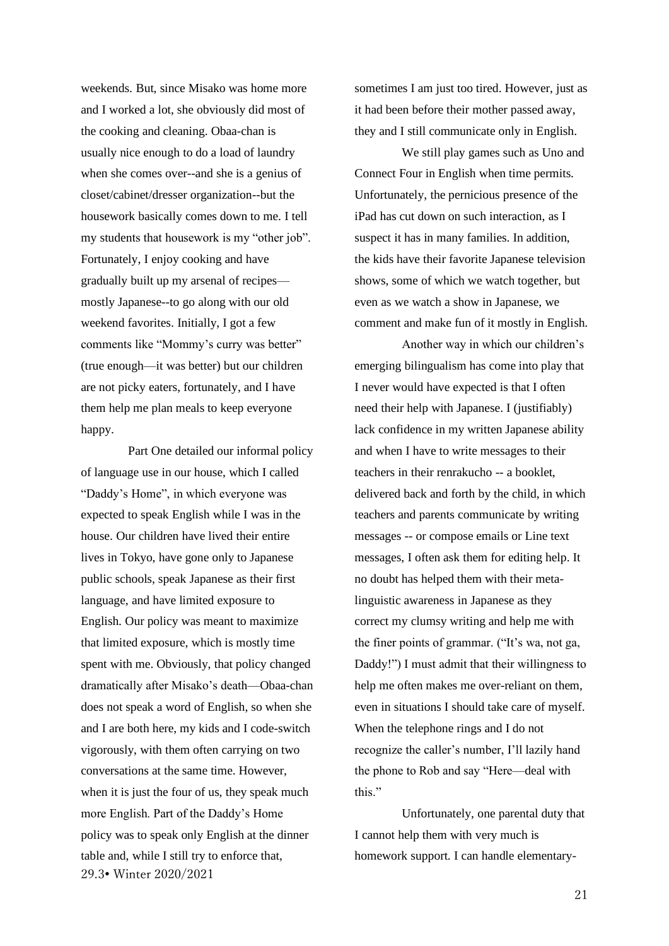weekends. But, since Misako was home more and I worked a lot, she obviously did most of the cooking and cleaning. Obaa-chan is usually nice enough to do a load of laundry when she comes over--and she is a genius of closet/cabinet/dresser organization--but the housework basically comes down to me. I tell my students that housework is my "other job". Fortunately, I enjoy cooking and have gradually built up my arsenal of recipes mostly Japanese--to go along with our old weekend favorites. Initially, I got a few comments like "Mommy's curry was better" (true enough—it was better) but our children are not picky eaters, fortunately, and I have them help me plan meals to keep everyone happy.

29.3• Winter 2020/2021 Part One detailed our informal policy of language use in our house, which I called "Daddy's Home", in which everyone was expected to speak English while I was in the house. Our children have lived their entire lives in Tokyo, have gone only to Japanese public schools, speak Japanese as their first language, and have limited exposure to English. Our policy was meant to maximize that limited exposure, which is mostly time spent with me. Obviously, that policy changed dramatically after Misako's death—Obaa-chan does not speak a word of English, so when she and I are both here, my kids and I code-switch vigorously, with them often carrying on two conversations at the same time. However, when it is just the four of us, they speak much more English. Part of the Daddy's Home policy was to speak only English at the dinner table and, while I still try to enforce that,

sometimes I am just too tired. However, just as it had been before their mother passed away, they and I still communicate only in English.

We still play games such as Uno and Connect Four in English when time permits. Unfortunately, the pernicious presence of the iPad has cut down on such interaction, as I suspect it has in many families. In addition, the kids have their favorite Japanese television shows, some of which we watch together, but even as we watch a show in Japanese, we comment and make fun of it mostly in English.

Another way in which our children's emerging bilingualism has come into play that I never would have expected is that I often need their help with Japanese. I (justifiably) lack confidence in my written Japanese ability and when I have to write messages to their teachers in their renrakucho -- a booklet, delivered back and forth by the child, in which teachers and parents communicate by writing messages -- or compose emails or Line text messages, I often ask them for editing help. It no doubt has helped them with their metalinguistic awareness in Japanese as they correct my clumsy writing and help me with the finer points of grammar. ("It's wa, not ga, Daddy!") I must admit that their willingness to help me often makes me over-reliant on them, even in situations I should take care of myself. When the telephone rings and I do not recognize the caller's number, I'll lazily hand the phone to Rob and say "Here—deal with this."

Unfortunately, one parental duty that I cannot help them with very much is homework support. I can handle elementary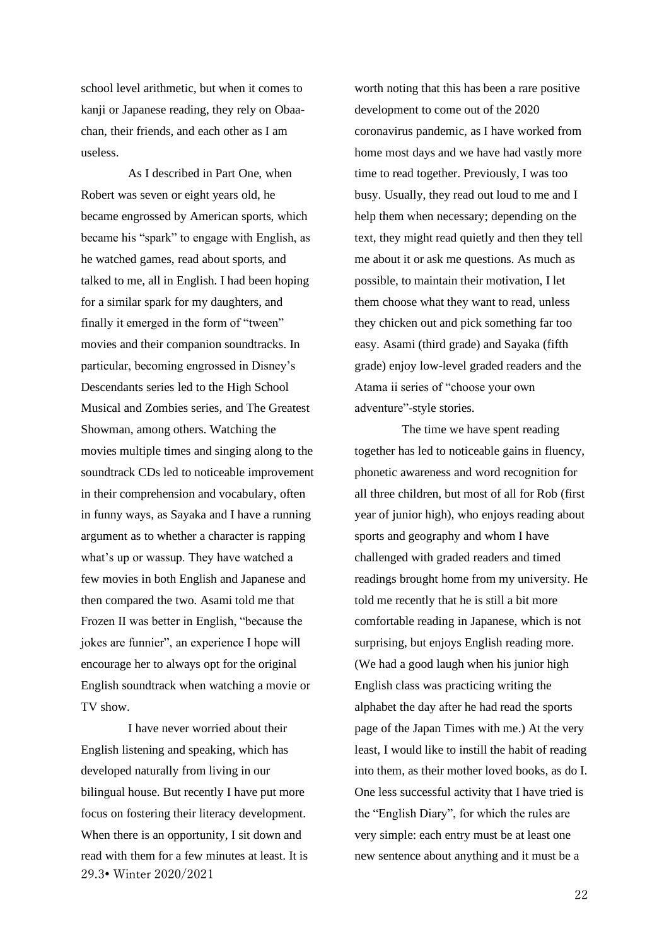school level arithmetic, but when it comes to kanji or Japanese reading, they rely on Obaachan, their friends, and each other as I am useless.

As I described in Part One, when Robert was seven or eight years old, he became engrossed by American sports, which became his "spark" to engage with English, as he watched games, read about sports, and talked to me, all in English. I had been hoping for a similar spark for my daughters, and finally it emerged in the form of "tween" movies and their companion soundtracks. In particular, becoming engrossed in Disney's Descendants series led to the High School Musical and Zombies series, and The Greatest Showman, among others. Watching the movies multiple times and singing along to the soundtrack CDs led to noticeable improvement in their comprehension and vocabulary, often in funny ways, as Sayaka and I have a running argument as to whether a character is rapping what's up or wassup. They have watched a few movies in both English and Japanese and then compared the two. Asami told me that Frozen II was better in English, "because the jokes are funnier", an experience I hope will encourage her to always opt for the original English soundtrack when watching a movie or TV show.

29.3• Winter 2020/2021 I have never worried about their English listening and speaking, which has developed naturally from living in our bilingual house. But recently I have put more focus on fostering their literacy development. When there is an opportunity, I sit down and read with them for a few minutes at least. It is worth noting that this has been a rare positive development to come out of the 2020 coronavirus pandemic, as I have worked from home most days and we have had vastly more time to read together. Previously, I was too busy. Usually, they read out loud to me and I help them when necessary; depending on the text, they might read quietly and then they tell me about it or ask me questions. As much as possible, to maintain their motivation, I let them choose what they want to read, unless they chicken out and pick something far too easy. Asami (third grade) and Sayaka (fifth grade) enjoy low-level graded readers and the Atama ii series of "choose your own adventure"-style stories.

The time we have spent reading together has led to noticeable gains in fluency, phonetic awareness and word recognition for all three children, but most of all for Rob (first year of junior high), who enjoys reading about sports and geography and whom I have challenged with graded readers and timed readings brought home from my university. He told me recently that he is still a bit more comfortable reading in Japanese, which is not surprising, but enjoys English reading more. (We had a good laugh when his junior high English class was practicing writing the alphabet the day after he had read the sports page of the Japan Times with me.) At the very least, I would like to instill the habit of reading into them, as their mother loved books, as do I. One less successful activity that I have tried is the "English Diary", for which the rules are very simple: each entry must be at least one new sentence about anything and it must be a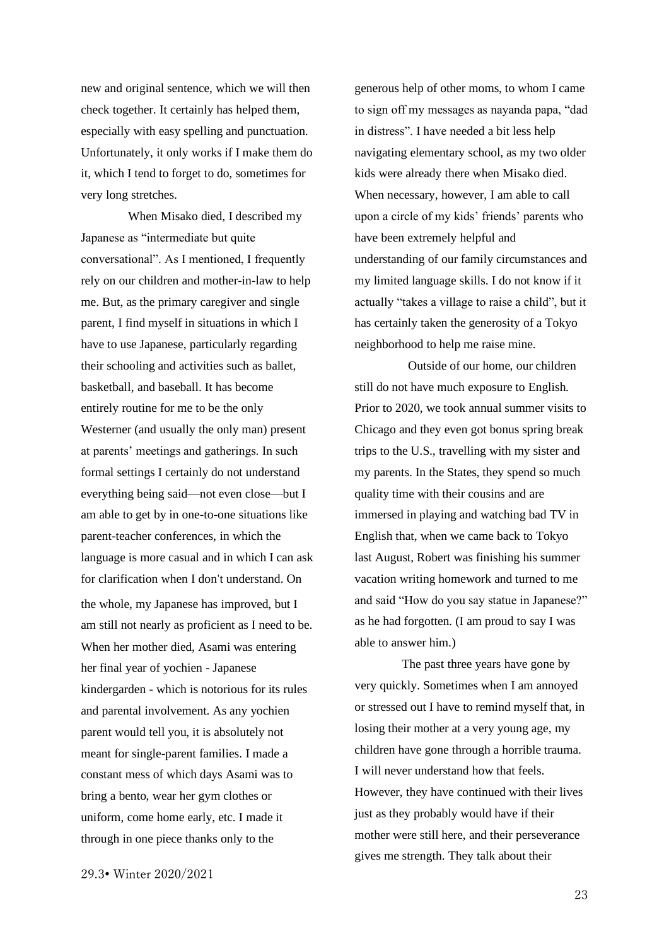new and original sentence, which we will then check together. It certainly has helped them, especially with easy spelling and punctuation. Unfortunately, it only works if I make them do it, which I tend to forget to do, sometimes for very long stretches.

When Misako died, I described my Japanese as "intermediate but quite conversational". As I mentioned, I frequently rely on our children and mother-in-law to help me. But, as the primary caregiver and single parent, I find myself in situations in which I have to use Japanese, particularly regarding their schooling and activities such as ballet, basketball, and baseball. It has become entirely routine for me to be the only Westerner (and usually the only man) present at parents' meetings and gatherings. In such formal settings I certainly do not understand everything being said—not even close—but I am able to get by in one-to-one situations like parent-teacher conferences, in which the language is more casual and in which I can ask for clarification when I don't understand. On the whole, my Japanese has improved, but I am still not nearly as proficient as I need to be. When her mother died, Asami was entering her final year of yochien - Japanese kindergarden - which is notorious for its rules and parental involvement. As any yochien parent would tell you, it is absolutely not meant for single-parent families. I made a constant mess of which days Asami was to bring a bento, wear her gym clothes or uniform, come home early, etc. I made it through in one piece thanks only to the

generous help of other moms, to whom I came to sign off my messages as nayanda papa, "dad in distress". I have needed a bit less help navigating elementary school, as my two older kids were already there when Misako died. When necessary, however, I am able to call upon a circle of my kids' friends' parents who have been extremely helpful and understanding of our family circumstances and my limited language skills. I do not know if it actually "takes a village to raise a child", but it has certainly taken the generosity of a Tokyo neighborhood to help me raise mine.

Outside of our home, our children still do not have much exposure to English. Prior to 2020, we took annual summer visits to Chicago and they even got bonus spring break trips to the U.S., travelling with my sister and my parents. In the States, they spend so much quality time with their cousins and are immersed in playing and watching bad TV in English that, when we came back to Tokyo last August, Robert was finishing his summer vacation writing homework and turned to me and said "How do you say statue in Japanese?" as he had forgotten. (I am proud to say I was able to answer him.)

The past three years have gone by very quickly. Sometimes when I am annoyed or stressed out I have to remind myself that, in losing their mother at a very young age, my children have gone through a horrible trauma. I will never understand how that feels. However, they have continued with their lives just as they probably would have if their mother were still here, and their perseverance gives me strength. They talk about their